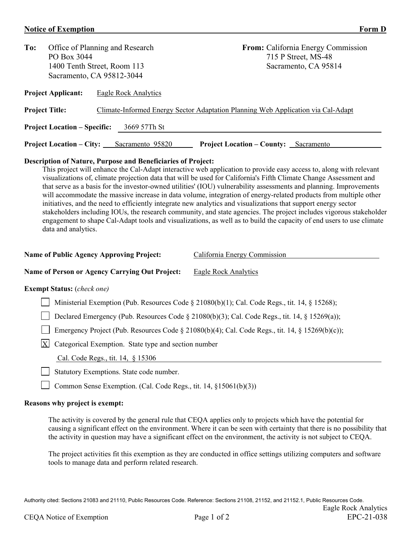## **Notice of Exemption Form D**

| To:                                                 | Office of Planning and Research<br>PO Box 3044<br>1400 Tenth Street, Room 113<br>Sacramento, CA 95812-3044 |                                                                                  |                                   | <b>From:</b> California Energy Commission<br>715 P Street, MS-48<br>Sacramento, CA 95814 |  |  |  |  |
|-----------------------------------------------------|------------------------------------------------------------------------------------------------------------|----------------------------------------------------------------------------------|-----------------------------------|------------------------------------------------------------------------------------------|--|--|--|--|
|                                                     | <b>Project Applicant:</b>                                                                                  | Eagle Rock Analytics                                                             |                                   |                                                                                          |  |  |  |  |
| <b>Project Title:</b>                               |                                                                                                            | Climate-Informed Energy Sector Adaptation Planning Web Application via Cal-Adapt |                                   |                                                                                          |  |  |  |  |
| 3669 57Th St<br><b>Project Location – Specific:</b> |                                                                                                            |                                                                                  |                                   |                                                                                          |  |  |  |  |
|                                                     | <b>Project Location – City:</b>                                                                            | Sacramento 95820                                                                 | <b>Project Location – County:</b> | Sacramento                                                                               |  |  |  |  |

## **Description of Nature, Purpose and Beneficiaries of Project:**

This project will enhance the Cal-Adapt interactive web application to provide easy access to, along with relevant visualizations of, climate projection data that will be used for California's Fifth Climate Change Assessment and that serve as a basis for the investor-owned utilities' (IOU) vulnerability assessments and planning. Improvements will accommodate the massive increase in data volume, integration of energy-related products from multiple other initiatives, and the need to efficiently integrate new analytics and visualizations that support energy sector stakeholders including IOUs, the research community, and state agencies. The project includes vigorous stakeholder engagement to shape Cal-Adapt tools and visualizations, as well as to build the capacity of end users to use climate data and analytics.

| <b>Name of Public Agency Approving Project:</b>                                                 | California Energy Commission |  |  |  |  |  |
|-------------------------------------------------------------------------------------------------|------------------------------|--|--|--|--|--|
| <b>Name of Person or Agency Carrying Out Project:</b>                                           | Eagle Rock Analytics         |  |  |  |  |  |
| <b>Exempt Status:</b> (check one)                                                               |                              |  |  |  |  |  |
| Ministerial Exemption (Pub. Resources Code § 21080(b)(1); Cal. Code Regs., tit. 14, § 15268);   |                              |  |  |  |  |  |
| Declared Emergency (Pub. Resources Code § 21080(b)(3); Cal. Code Regs., tit. 14, § 15269(a));   |                              |  |  |  |  |  |
| Emergency Project (Pub. Resources Code § 21080(b)(4); Cal. Code Regs., tit. 14, § 15269(b)(c)); |                              |  |  |  |  |  |
| $\boldsymbol{\mathrm{X}}$<br>Categorical Exemption. State type and section number               |                              |  |  |  |  |  |
| Cal. Code Regs., tit. 14, § 15306                                                               |                              |  |  |  |  |  |
| Statutory Exemptions. State code number.                                                        |                              |  |  |  |  |  |
| Common Sense Exemption. (Cal. Code Regs., tit. 14, §15061(b)(3))                                |                              |  |  |  |  |  |
| Reasons why project is exempt:                                                                  |                              |  |  |  |  |  |

The activity is covered by the general rule that CEQA applies only to projects which have the potential for causing a significant effect on the environment. Where it can be seen with certainty that there is no possibility that the activity in question may have a significant effect on the environment, the activity is not subject to CEQA.

The project activities fit this exemption as they are conducted in office settings utilizing computers and software tools to manage data and perform related research.